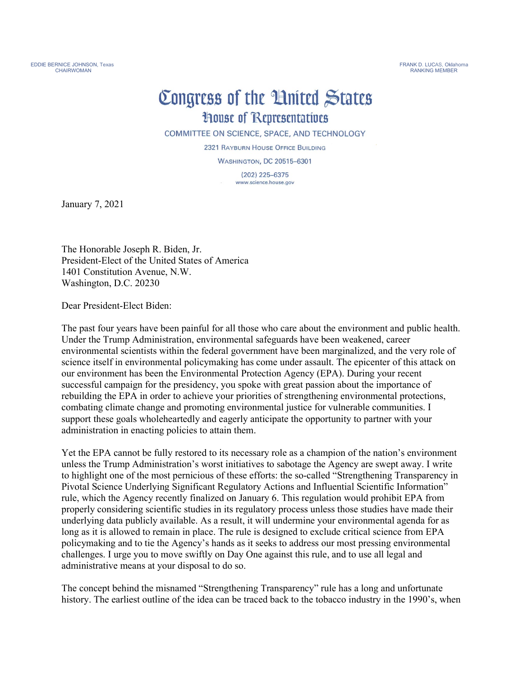## Congress of the United States **House of Representatives**

COMMITTEE ON SCIENCE, SPACE, AND TECHNOLOGY

2321 RAYBURN HOUSE OFFICE BUILDING

**WASHINGTON, DC 20515-6301** 

 $(202)$  225-6375 www.science.house.gov

January 7, 2021

The Honorable Joseph R. Biden, Jr. President-Elect of the United States of America 1401 Constitution Avenue, N.W. Washington, D.C. 20230

Dear President-Elect Biden:

The past four years have been painful for all those who care about the environment and public health. Under the Trump Administration, environmental safeguards have been weakened, career environmental scientists within the federal government have been marginalized, and the very role of science itself in environmental policymaking has come under assault. The epicenter of this attack on our environment has been the Environmental Protection Agency (EPA). During your recent successful campaign for the presidency, you spoke with great passion about the importance of rebuilding the EPA in order to achieve your priorities of strengthening environmental protections, combating climate change and promoting environmental justice for vulnerable communities. I support these goals wholeheartedly and eagerly anticipate the opportunity to partner with your administration in enacting policies to attain them.

Yet the EPA cannot be fully restored to its necessary role as a champion of the nation's environment unless the Trump Administration's worst initiatives to sabotage the Agency are swept away. I write to highlight one of the most pernicious of these efforts: the so-called "Strengthening Transparency in Pivotal Science Underlying Significant Regulatory Actions and Influential Scientific Information" rule, which the Agency recently finalized on January 6. This regulation would prohibit EPA from properly considering scientific studies in its regulatory process unless those studies have made their underlying data publicly available. As a result, it will undermine your environmental agenda for as long as it is allowed to remain in place. The rule is designed to exclude critical science from EPA policymaking and to tie the Agency's hands as it seeks to address our most pressing environmental challenges. I urge you to move swiftly on Day One against this rule, and to use all legal and administrative means at your disposal to do so.

The concept behind the misnamed "Strengthening Transparency" rule has a long and unfortunate history. The earliest outline of the idea can be traced back to the tobacco industry in the 1990's, when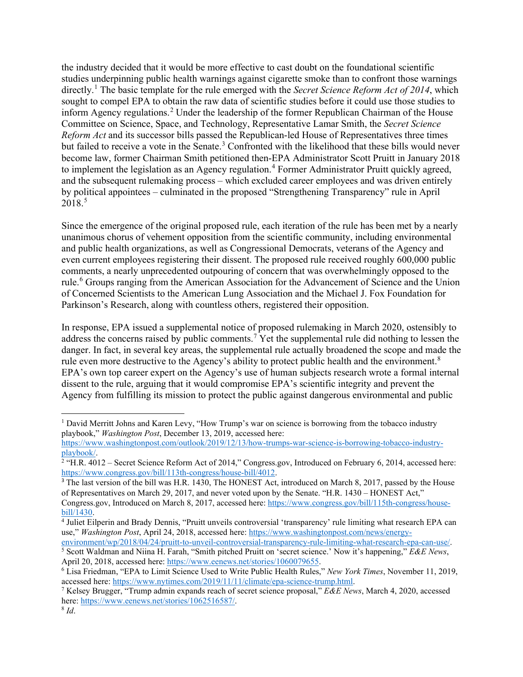the industry decided that it would be more effective to cast doubt on the foundational scientific studies underpinning public health warnings against cigarette smoke than to confront those warnings directly.[1](#page-1-0) The basic template for the rule emerged with the *Secret Science Reform Act of 2014*, which sought to compel EPA to obtain the raw data of scientific studies before it could use those studies to inform Agency regulations.<sup>[2](#page-1-1)</sup> Under the leadership of the former Republican Chairman of the House Committee on Science, Space, and Technology, Representative Lamar Smith, the *Secret Science Reform Act* and its successor bills passed the Republican-led House of Representatives three times but failed to receive a vote in the Senate.<sup>[3](#page-1-2)</sup> Confronted with the likelihood that these bills would never become law, former Chairman Smith petitioned then-EPA Administrator Scott Pruitt in January 2018 to implement the legislation as an Agency regulation. [4](#page-1-3) Former Administrator Pruitt quickly agreed, and the subsequent rulemaking process – which excluded career employees and was driven entirely by political appointees – culminated in the proposed "Strengthening Transparency" rule in April  $2018.<sup>5</sup>$  $2018.<sup>5</sup>$  $2018.<sup>5</sup>$ 

Since the emergence of the original proposed rule, each iteration of the rule has been met by a nearly unanimous chorus of vehement opposition from the scientific community, including environmental and public health organizations, as well as Congressional Democrats, veterans of the Agency and even current employees registering their dissent. The proposed rule received roughly 600,000 public comments, a nearly unprecedented outpouring of concern that was overwhelmingly opposed to the rule.<sup>[6](#page-1-5)</sup> Groups ranging from the American Association for the Advancement of Science and the Union of Concerned Scientists to the American Lung Association and the Michael J. Fox Foundation for Parkinson's Research, along with countless others, registered their opposition.

In response, EPA issued a supplemental notice of proposed rulemaking in March 2020, ostensibly to address the concerns raised by public comments.[7](#page-1-6) Yet the supplemental rule did nothing to lessen the danger. In fact, in several key areas, the supplemental rule actually broadened the scope and made the rule even more destructive to the Agency's ability to protect public health and the environment.<sup>[8](#page-1-7)</sup> EPA's own top career expert on the Agency's use of human subjects research wrote a formal internal dissent to the rule, arguing that it would compromise EPA's scientific integrity and prevent the Agency from fulfilling its mission to protect the public against dangerous environmental and public

<span id="page-1-0"></span><sup>&</sup>lt;sup>1</sup> David Merritt Johns and Karen Levy, "How Trump's war on science is borrowing from the tobacco industry playbook," *Washington Post*, December 13, 2019, accessed here:

https://www.washingtonpost.com/outlook/2019/12/13/how-trumps-war-science-is-borrowing-tobacco-industry-<br>playbook/.

<span id="page-1-1"></span> $\lambda^2$  "H.R. 4012 – Secret Science Reform Act of 2014," Congress.gov, Introduced on February 6, 2014, accessed here: [https://www.congress.gov/bill/113th-congress/house-bill/4012.](https://www.congress.gov/bill/113th-congress/house-bill/4012)

<span id="page-1-2"></span><sup>&</sup>lt;sup>3</sup> The last version of the bill was H.R. 1430, The HONEST Act, introduced on March 8, 2017, passed by the House of Representatives on March 29, 2017, and never voted upon by the Senate. "H.R. 1430 – HONEST Act," Congress.gov, Introduced on March 8, 2017, accessed here: [https://www.congress.gov/bill/115th-congress/house-](https://www.congress.gov/bill/115th-congress/house-bill/1430)

<span id="page-1-3"></span>[bill/1430.](https://www.congress.gov/bill/115th-congress/house-bill/1430) 4 Juliet Eilperin and Brady Dennis, "Pruitt unveils controversial 'transparency' rule limiting what research EPA can use," *Washington Post*, April 24, 2018, accessed here: https://www.washingtonpost.com/news/energy-<br>environment/wp/2018/04/24/pruitt-to-unveil-controversial-transparency-rule-limiting-what-research-epa-can-use/.

<span id="page-1-4"></span><sup>&</sup>lt;sup>5</sup> Scott Waldman and Niina H. Farah, "Smith pitched Pruitt on 'secret science.' Now it's happening,"  $\overline{E}$  & E News, April 20, 2018, accessed here: https://www.eenews.net/stories/1060079655.

<span id="page-1-5"></span><sup>&</sup>lt;sup>6</sup> Lisa Friedman, "EPA to Limit Science Used to Write Public Health Rules," *New York Times*, November 11, 2019, accessed here: [https://www.nytimes.com/2019/11/11/climate/epa-science-trump.html.](https://www.nytimes.com/2019/11/11/climate/epa-science-trump.html) 7 Kelsey Brugger, "Trump admin expands reach of secret science proposal," *E&E News*, March 4, 2020, accessed

<span id="page-1-7"></span><span id="page-1-6"></span>here[: https://www.eenews.net/stories/1062516587/.](https://www.eenews.net/stories/1062516587/) 8 *Id*.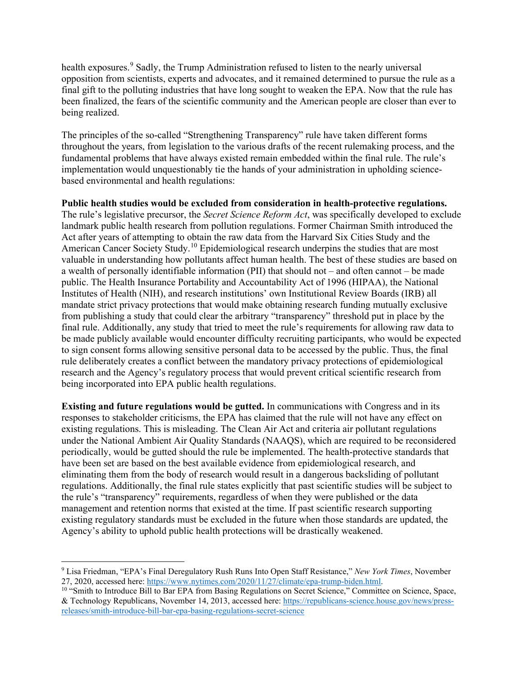health exposures.<sup>[9](#page-2-0)</sup> Sadly, the Trump Administration refused to listen to the nearly universal opposition from scientists, experts and advocates, and it remained determined to pursue the rule as a final gift to the polluting industries that have long sought to weaken the EPA. Now that the rule has been finalized, the fears of the scientific community and the American people are closer than ever to being realized.

The principles of the so-called "Strengthening Transparency" rule have taken different forms throughout the years, from legislation to the various drafts of the recent rulemaking process, and the fundamental problems that have always existed remain embedded within the final rule. The rule's implementation would unquestionably tie the hands of your administration in upholding sciencebased environmental and health regulations:

**Public health studies would be excluded from consideration in health-protective regulations.** The rule's legislative precursor, the *Secret Science Reform Act*, was specifically developed to exclude landmark public health research from pollution regulations. Former Chairman Smith introduced the Act after years of attempting to obtain the raw data from the Harvard Six Cities Study and the American Cancer Society Study.<sup>[10](#page-2-1)</sup> Epidemiological research underpins the studies that are most valuable in understanding how pollutants affect human health. The best of these studies are based on a wealth of personally identifiable information (PII) that should not – and often cannot – be made public. The Health Insurance Portability and Accountability Act of 1996 (HIPAA), the National Institutes of Health (NIH), and research institutions' own Institutional Review Boards (IRB) all mandate strict privacy protections that would make obtaining research funding mutually exclusive from publishing a study that could clear the arbitrary "transparency" threshold put in place by the final rule. Additionally, any study that tried to meet the rule's requirements for allowing raw data to be made publicly available would encounter difficulty recruiting participants, who would be expected to sign consent forms allowing sensitive personal data to be accessed by the public. Thus, the final rule deliberately creates a conflict between the mandatory privacy protections of epidemiological research and the Agency's regulatory process that would prevent critical scientific research from being incorporated into EPA public health regulations.

**Existing and future regulations would be gutted.** In communications with Congress and in its responses to stakeholder criticisms, the EPA has claimed that the rule will not have any effect on existing regulations. This is misleading. The Clean Air Act and criteria air pollutant regulations under the National Ambient Air Quality Standards (NAAQS), which are required to be reconsidered periodically, would be gutted should the rule be implemented. The health-protective standards that have been set are based on the best available evidence from epidemiological research, and eliminating them from the body of research would result in a dangerous backsliding of pollutant regulations. Additionally, the final rule states explicitly that past scientific studies will be subject to the rule's "transparency" requirements, regardless of when they were published or the data management and retention norms that existed at the time. If past scientific research supporting existing regulatory standards must be excluded in the future when those standards are updated, the Agency's ability to uphold public health protections will be drastically weakened.

<span id="page-2-0"></span><sup>9</sup> Lisa Friedman, "EPA's Final Deregulatory Rush Runs Into Open Staff Resistance," *New York Times*, November 27, 2020, accessed here: [https://www.nytimes.com/2020/11/27/climate/epa-trump-biden.html.](https://www.nytimes.com/2020/11/27/climate/epa-trump-biden.html)<br><sup>10</sup> "Smith to Introduce Bill to Bar EPA from Basing Regulations on Secret Science," Committee on Science, Space,

<span id="page-2-1"></span><sup>&</sup>amp; Technology Republicans, November 14, 2013, accessed here[: https://republicans-science.house.gov/news/press](https://republicans-science.house.gov/news/press-releases/smith-introduce-bill-bar-epa-basing-regulations-secret-science)[releases/smith-introduce-bill-bar-epa-basing-regulations-secret-science](https://republicans-science.house.gov/news/press-releases/smith-introduce-bill-bar-epa-basing-regulations-secret-science)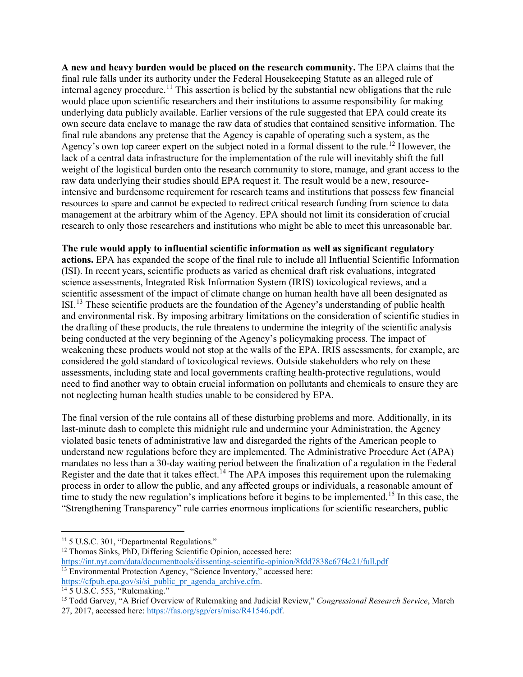**A new and heavy burden would be placed on the research community.** The EPA claims that the final rule falls under its authority under the Federal Housekeeping Statute as an alleged rule of internal agency procedure.<sup>[11](#page-3-0)</sup> This assertion is belied by the substantial new obligations that the rule would place upon scientific researchers and their institutions to assume responsibility for making underlying data publicly available. Earlier versions of the rule suggested that EPA could create its own secure data enclave to manage the raw data of studies that contained sensitive information. The final rule abandons any pretense that the Agency is capable of operating such a system, as the Agency's own top career expert on the subject noted in a formal dissent to the rule.<sup>[12](#page-3-1)</sup> However, the lack of a central data infrastructure for the implementation of the rule will inevitably shift the full weight of the logistical burden onto the research community to store, manage, and grant access to the raw data underlying their studies should EPA request it. The result would be a new, resourceintensive and burdensome requirement for research teams and institutions that possess few financial resources to spare and cannot be expected to redirect critical research funding from science to data management at the arbitrary whim of the Agency. EPA should not limit its consideration of crucial research to only those researchers and institutions who might be able to meet this unreasonable bar.

## **The rule would apply to influential scientific information as well as significant regulatory**

**actions.** EPA has expanded the scope of the final rule to include all Influential Scientific Information (ISI). In recent years, scientific products as varied as chemical draft risk evaluations, integrated science assessments, Integrated Risk Information System (IRIS) toxicological reviews, and a scientific assessment of the impact of climate change on human health have all been designated as ISI.[13](#page-3-2) These scientific products are the foundation of the Agency's understanding of public health and environmental risk. By imposing arbitrary limitations on the consideration of scientific studies in the drafting of these products, the rule threatens to undermine the integrity of the scientific analysis being conducted at the very beginning of the Agency's policymaking process. The impact of weakening these products would not stop at the walls of the EPA. IRIS assessments, for example, are considered the gold standard of toxicological reviews. Outside stakeholders who rely on these assessments, including state and local governments crafting health-protective regulations, would need to find another way to obtain crucial information on pollutants and chemicals to ensure they are not neglecting human health studies unable to be considered by EPA.

The final version of the rule contains all of these disturbing problems and more. Additionally, in its last-minute dash to complete this midnight rule and undermine your Administration, the Agency violated basic tenets of administrative law and disregarded the rights of the American people to understand new regulations before they are implemented. The Administrative Procedure Act (APA) mandates no less than a 30-day waiting period between the finalization of a regulation in the Federal Register and the date that it takes effect.<sup>[14](#page-3-3)</sup> The APA imposes this requirement upon the rulemaking process in order to allow the public, and any affected groups or individuals, a reasonable amount of time to study the new regulation's implications before it begins to be implemented.<sup>[15](#page-3-4)</sup> In this case, the "Strengthening Transparency" rule carries enormous implications for scientific researchers, public

<span id="page-3-1"></span><span id="page-3-0"></span><sup>&</sup>lt;sup>11</sup> 5 U.S.C. 301, "Departmental Regulations." <sup>12</sup> Thomas Sinks, PhD, Differing Scientific Opinion, accessed here: <https://int.nyt.com/data/documenttools/dissenting-scientific-opinion/8fdd7838c67f4c21/full.pdf>

<span id="page-3-2"></span><sup>&</sup>lt;sup>13</sup> Environmental Protection Agency, "Science Inventory," accessed here: [https://cfpub.epa.gov/si/si\\_public\\_pr\\_agenda\\_archive.cfm.](https://cfpub.epa.gov/si/si_public_pr_agenda_archive.cfm)<br><sup>14</sup> 5 U.S.C. 553, "Rulemaking."

<span id="page-3-4"></span><span id="page-3-3"></span><sup>15</sup> Todd Garvey, "A Brief Overview of Rulemaking and Judicial Review," *Congressional Research Service*, March 27, 2017, accessed here: [https://fas.org/sgp/crs/misc/R41546.pdf.](https://fas.org/sgp/crs/misc/R41546.pdf)